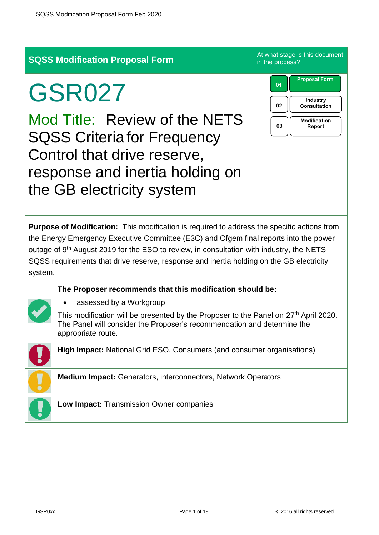# **SQSS Modification Proposal Form** At what stage is this document

# GSR027

Mod Title: Review of the NETS SQSS Criteria for Frequency Control that drive reserve, response and inertia holding on the GB electricity system

in the process?



**Purpose of Modification:** This modification is required to address the specific actions from the Energy Emergency Executive Committee (E3C) and Ofgem final reports into the power outage of 9<sup>th</sup> August 2019 for the ESO to review, in consultation with industry, the NETS SQSS requirements that drive reserve, response and inertia holding on the GB electricity system.

#### **The Proposer recommends that this modification should be:**

assessed by a Workgroup

This modification will be presented by the Proposer to the Panel on  $27<sup>th</sup>$  April 2020. The Panel will consider the Proposer's recommendation and determine the appropriate route.

**High Impact:** National Grid ESO, Consumers (and consumer organisations)

**Medium Impact:** Generators, interconnectors, Network Operators

**Low Impact:** Transmission Owner companies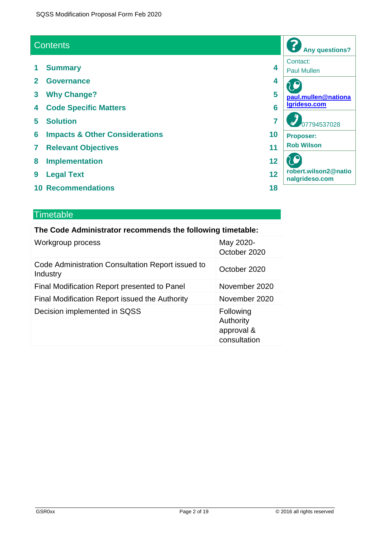#### **Contents**

- **1 Summary 4**
- **2 Governance 4**
- **3 Why Change? 5**
- **4 Code Specific Matters 6**
- **5 Solution 7**
- **6 Impacts & Other Considerations 10**
- **7 Relevant Objectives 11**
- **8 Implementation 12**
- **9 Legal Text 12**
- **10 Recommendations 18**

#### **Timetable**

#### **The Code Administrator recommends the following timetable:**

| Workgroup process                                             | May 2020-<br>October 2020                            |
|---------------------------------------------------------------|------------------------------------------------------|
| Code Administration Consultation Report issued to<br>Industry | October 2020                                         |
| Final Modification Report presented to Panel                  | November 2020                                        |
| Final Modification Report issued the Authority                | November 2020                                        |
| Decision implemented in SQSS                                  | Following<br>Authority<br>approval &<br>consultation |

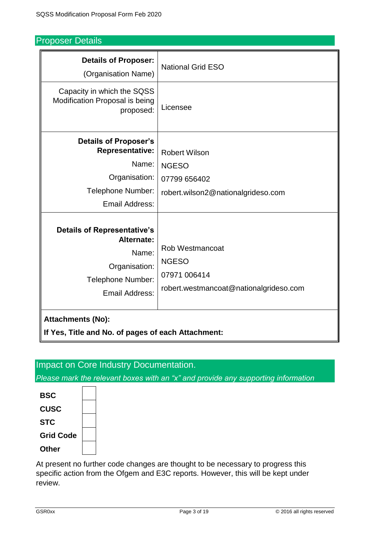## Proposer Details

| <b>Details of Proposer:</b><br>(Organisation Name)                                                                       | <b>National Grid ESO</b>                                                                  |
|--------------------------------------------------------------------------------------------------------------------------|-------------------------------------------------------------------------------------------|
| Capacity in which the SQSS<br>Modification Proposal is being<br>proposed:                                                | Licensee                                                                                  |
| <b>Details of Proposer's</b><br><b>Representative:</b><br>Name:                                                          | <b>Robert Wilson</b><br><b>NGESO</b>                                                      |
| Organisation:<br>Telephone Number:<br>Email Address:                                                                     | 07799 656402<br>robert.wilson2@nationalgrideso.com                                        |
| <b>Details of Representative's</b><br>Alternate:<br>Name:<br>Organisation:<br>Telephone Number:<br><b>Email Address:</b> | Rob Westmancoat<br><b>NGESO</b><br>07971 006414<br>robert.westmancoat@nationalgrideso.com |
| <b>Attachments (No):</b><br>If Yes, Title and No. of pages of each Attachment:                                           |                                                                                           |

# Impact on Core Industry Documentation.

*Please mark the relevant boxes with an "x" and provide any supporting information*

| <b>BSC</b>       |  |
|------------------|--|
| <b>CUSC</b>      |  |
| <b>STC</b>       |  |
| <b>Grid Code</b> |  |
| Other            |  |

 $\overline{ }$ 

At present no further code changes are thought to be necessary to progress this specific action from the Ofgem and E3C reports. However, this will be kept under review.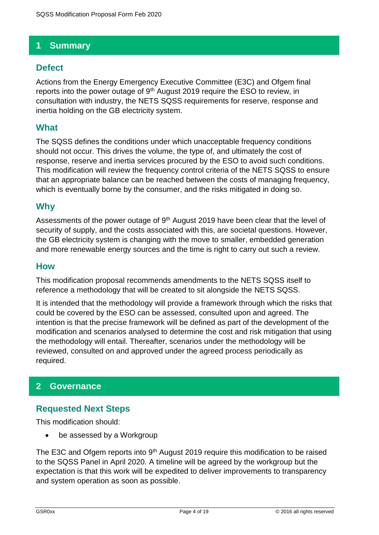## **1 Summary**

#### **Defect**

Actions from the Energy Emergency Executive Committee (E3C) and Ofgem final reports into the power outage of 9<sup>th</sup> August 2019 require the ESO to review, in consultation with industry, the NETS SQSS requirements for reserve, response and inertia holding on the GB electricity system.

#### **What**

The SQSS defines the conditions under which unacceptable frequency conditions should not occur. This drives the volume, the type of, and ultimately the cost of response, reserve and inertia services procured by the ESO to avoid such conditions. This modification will review the frequency control criteria of the NETS SQSS to ensure that an appropriate balance can be reached between the costs of managing frequency, which is eventually borne by the consumer, and the risks mitigated in doing so.

#### **Why**

Assessments of the power outage of  $9<sup>th</sup>$  August 2019 have been clear that the level of security of supply, and the costs associated with this, are societal questions. However, the GB electricity system is changing with the move to smaller, embedded generation and more renewable energy sources and the time is right to carry out such a review.

#### **How**

This modification proposal recommends amendments to the NETS SQSS itself to reference a methodology that will be created to sit alongside the NETS SQSS.

It is intended that the methodology will provide a framework through which the risks that could be covered by the ESO can be assessed, consulted upon and agreed. The intention is that the precise framework will be defined as part of the development of the modification and scenarios analysed to determine the cost and risk mitigation that using the methodology will entail. Thereafter, scenarios under the methodology will be reviewed, consulted on and approved under the agreed process periodically as required.

#### **2 Governance**

#### **Requested Next Steps**

This modification should:

• be assessed by a Workgroup

The E3C and Ofgem reports into  $9<sup>th</sup>$  August 2019 require this modification to be raised to the SQSS Panel in April 2020. A timeline will be agreed by the workgroup but the expectation is that this work will be expedited to deliver improvements to transparency and system operation as soon as possible.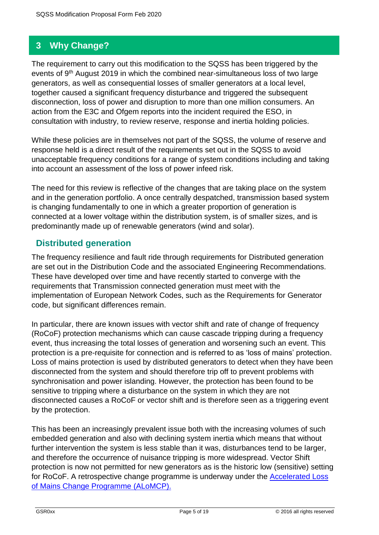# **3 Why Change?**

The requirement to carry out this modification to the SQSS has been triggered by the events of 9<sup>th</sup> August 2019 in which the combined near-simultaneous loss of two large generators, as well as consequential losses of smaller generators at a local level, together caused a significant frequency disturbance and triggered the subsequent disconnection, loss of power and disruption to more than one million consumers. An action from the E3C and Ofgem reports into the incident required the ESO, in consultation with industry, to review reserve, response and inertia holding policies.

While these policies are in themselves not part of the SQSS, the volume of reserve and response held is a direct result of the requirements set out in the SQSS to avoid unacceptable frequency conditions for a range of system conditions including and taking into account an assessment of the loss of power infeed risk.

The need for this review is reflective of the changes that are taking place on the system and in the generation portfolio. A once centrally despatched, transmission based system is changing fundamentally to one in which a greater proportion of generation is connected at a lower voltage within the distribution system, is of smaller sizes, and is predominantly made up of renewable generators (wind and solar).

#### **Distributed generation**

The frequency resilience and fault ride through requirements for Distributed generation are set out in the Distribution Code and the associated Engineering Recommendations. These have developed over time and have recently started to converge with the requirements that Transmission connected generation must meet with the implementation of European Network Codes, such as the Requirements for Generator code, but significant differences remain.

In particular, there are known issues with vector shift and rate of change of frequency (RoCoF) protection mechanisms which can cause cascade tripping during a frequency event, thus increasing the total losses of generation and worsening such an event. This protection is a pre-requisite for connection and is referred to as 'loss of mains' protection. Loss of mains protection is used by distributed generators to detect when they have been disconnected from the system and should therefore trip off to prevent problems with synchronisation and power islanding. However, the protection has been found to be sensitive to tripping where a disturbance on the system in which they are not disconnected causes a RoCoF or vector shift and is therefore seen as a triggering event by the protection.

This has been an increasingly prevalent issue both with the increasing volumes of such embedded generation and also with declining system inertia which means that without further intervention the system is less stable than it was, disturbances tend to be larger, and therefore the occurrence of nuisance tripping is more widespread. Vector Shift protection is now not permitted for new generators as is the historic low (sensitive) setting for RoCoF. A retrospective change programme is underway under the [Accelerated Loss](https://www.energynetworks.org/electricity/engineering/accelerated-loss-of-mains-change-programme.html)  [of Mains Change Programme \(ALoMCP\).](https://www.energynetworks.org/electricity/engineering/accelerated-loss-of-mains-change-programme.html)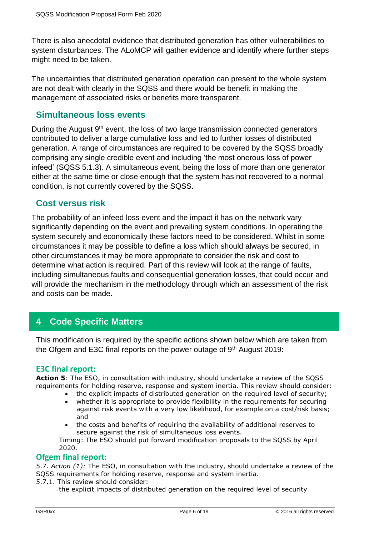There is also anecdotal evidence that distributed generation has other vulnerabilities to system disturbances. The ALoMCP will gather evidence and identify where further steps might need to be taken.

The uncertainties that distributed generation operation can present to the whole system are not dealt with clearly in the SQSS and there would be benefit in making the management of associated risks or benefits more transparent.

#### **Simultaneous loss events**

During the August 9<sup>th</sup> event, the loss of two large transmission connected generators contributed to deliver a large cumulative loss and led to further losses of distributed generation. A range of circumstances are required to be covered by the SQSS broadly comprising any single credible event and including 'the most onerous loss of power infeed' (SQSS 5.1.3). A simultaneous event, being the loss of more than one generator either at the same time or close enough that the system has not recovered to a normal condition, is not currently covered by the SQSS.

#### **Cost versus risk**

The probability of an infeed loss event and the impact it has on the network vary significantly depending on the event and prevailing system conditions. In operating the system securely and economically these factors need to be considered. Whilst in some circumstances it may be possible to define a loss which should always be secured, in other circumstances it may be more appropriate to consider the risk and cost to determine what action is required. Part of this review will look at the range of faults, including simultaneous faults and consequential generation losses, that could occur and will provide the mechanism in the methodology through which an assessment of the risk and costs can be made.

## **4 Code Specific Matters**

This modification is required by the specific actions shown below which are taken from the Ofgem and E3C final reports on the power outage of 9<sup>th</sup> August 2019:

#### **E3C final report:**

**Action 5**: The ESO, in consultation with industry, should undertake a review of the SQSS requirements for holding reserve, response and system inertia. This review should consider:

- the explicit impacts of distributed generation on the required level of security;
- whether it is appropriate to provide flexibility in the requirements for securing against risk events with a very low likelihood, for example on a cost/risk basis; and
- the costs and benefits of requiring the availability of additional reserves to secure against the risk of simultaneous loss events.

Timing: The ESO should put forward modification proposals to the SQSS by April 2020.

#### **Ofgem final report:**

5.7. *Action (1):* The ESO, in consultation with the industry, should undertake a review of the SQSS requirements for holding reserve, response and system inertia.

- 5.7.1. This review should consider:
	- -the explicit impacts of distributed generation on the required level of security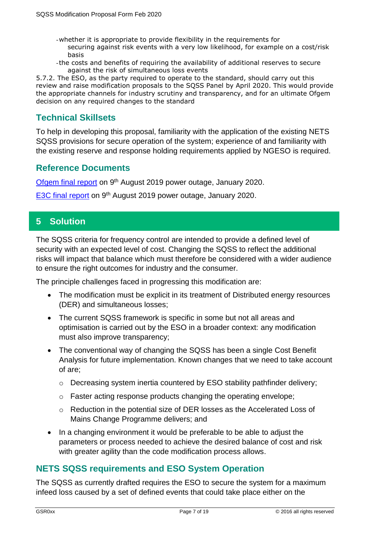- -whether it is appropriate to provide flexibility in the requirements for securing against risk events with a very low likelihood, for example on a cost/risk basis
- -the costs and benefits of requiring the availability of additional reserves to secure against the risk of simultaneous loss events

5.7.2. The ESO, as the party required to operate to the standard, should carry out this review and raise modification proposals to the SQSS Panel by April 2020. This would provide the appropriate channels for industry scrutiny and transparency, and for an ultimate Ofgem decision on any required changes to the standard

## **Technical Skillsets**

To help in developing this proposal, familiarity with the application of the existing NETS SQSS provisions for secure operation of the system; experience of and familiarity with the existing reserve and response holding requirements applied by NGESO is required.

#### **Reference Documents**

[Ofgem final report](https://www.ofgem.gov.uk/system/files/docs/2020/01/9_august_2019_power_outage_report.pdf) on 9th August 2019 power outage, January 2020.

[E3C final report](https://assets.publishing.service.gov.uk/government/uploads/system/uploads/attachment_data/file/855767/e3c-gb-power-disruption-9-august-2019-final-report.pdf) on 9th August 2019 power outage, January 2020.

## **5 Solution**

The SQSS criteria for frequency control are intended to provide a defined level of security with an expected level of cost. Changing the SQSS to reflect the additional risks will impact that balance which must therefore be considered with a wider audience to ensure the right outcomes for industry and the consumer.

The principle challenges faced in progressing this modification are:

- The modification must be explicit in its treatment of Distributed energy resources (DER) and simultaneous losses;
- The current SQSS framework is specific in some but not all areas and optimisation is carried out by the ESO in a broader context: any modification must also improve transparency;
- The conventional way of changing the SQSS has been a single Cost Benefit Analysis for future implementation. Known changes that we need to take account of are;
	- o Decreasing system inertia countered by ESO stability pathfinder delivery;
	- o Faster acting response products changing the operating envelope;
	- o Reduction in the potential size of DER losses as the Accelerated Loss of Mains Change Programme delivers; and
- In a changing environment it would be preferable to be able to adjust the parameters or process needed to achieve the desired balance of cost and risk with greater agility than the code modification process allows.

#### **NETS SQSS requirements and ESO System Operation**

The SQSS as currently drafted requires the ESO to secure the system for a maximum infeed loss caused by a set of defined events that could take place either on the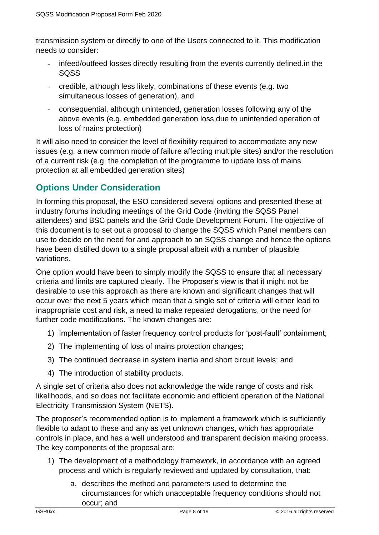transmission system or directly to one of the Users connected to it. This modification needs to consider:

- infeed/outfeed losses directly resulting from the events currently defined.in the SQSS
- credible, although less likely, combinations of these events (e.g. two simultaneous losses of generation), and
- consequential, although unintended, generation losses following any of the above events (e.g. embedded generation loss due to unintended operation of loss of mains protection)

It will also need to consider the level of flexibility required to accommodate any new issues (e.g. a new common mode of failure affecting multiple sites) and/or the resolution of a current risk (e.g. the completion of the programme to update loss of mains protection at all embedded generation sites)

# **Options Under Consideration**

In forming this proposal, the ESO considered several options and presented these at industry forums including meetings of the Grid Code (inviting the SQSS Panel attendees) and BSC panels and the Grid Code Development Forum. The objective of this document is to set out a proposal to change the SQSS which Panel members can use to decide on the need for and approach to an SQSS change and hence the options have been distilled down to a single proposal albeit with a number of plausible variations.

One option would have been to simply modify the SQSS to ensure that all necessary criteria and limits are captured clearly. The Proposer's view is that it might not be desirable to use this approach as there are known and significant changes that will occur over the next 5 years which mean that a single set of criteria will either lead to inappropriate cost and risk, a need to make repeated derogations, or the need for further code modifications. The known changes are:

- 1) Implementation of faster frequency control products for 'post-fault' containment;
- 2) The implementing of loss of mains protection changes;
- 3) The continued decrease in system inertia and short circuit levels; and
- 4) The introduction of stability products.

A single set of criteria also does not acknowledge the wide range of costs and risk likelihoods, and so does not facilitate economic and efficient operation of the National Electricity Transmission System (NETS).

The proposer's recommended option is to implement a framework which is sufficiently flexible to adapt to these and any as yet unknown changes, which has appropriate controls in place, and has a well understood and transparent decision making process. The key components of the proposal are:

- 1) The development of a methodology framework, in accordance with an agreed process and which is regularly reviewed and updated by consultation, that:
	- a. describes the method and parameters used to determine the circumstances for which unacceptable frequency conditions should not occur; and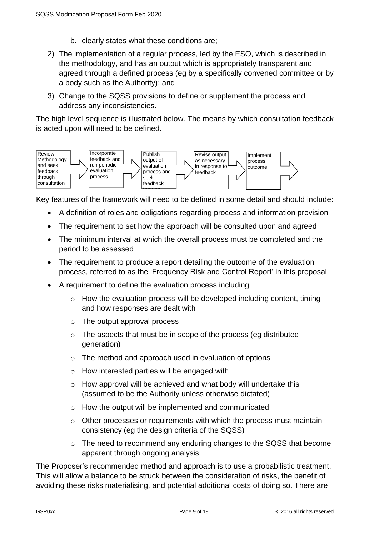- b. clearly states what these conditions are;
- 2) The implementation of a regular process, led by the ESO, which is described in the methodology, and has an output which is appropriately transparent and agreed through a defined process (eg by a specifically convened committee or by a body such as the Authority); and
- 3) Change to the SQSS provisions to define or supplement the process and address any inconsistencies.

The high level sequence is illustrated below. The means by which consultation feedback is acted upon will need to be defined.



Key features of the framework will need to be defined in some detail and should include:

- A definition of roles and obligations regarding process and information provision
- The requirement to set how the approach will be consulted upon and agreed
- The minimum interval at which the overall process must be completed and the period to be assessed
- The requirement to produce a report detailing the outcome of the evaluation process, referred to as the 'Frequency Risk and Control Report' in this proposal
- A requirement to define the evaluation process including
	- o How the evaluation process will be developed including content, timing and how responses are dealt with
	- o The output approval process
	- o The aspects that must be in scope of the process (eg distributed generation)
	- o The method and approach used in evaluation of options
	- o How interested parties will be engaged with
	- o How approval will be achieved and what body will undertake this (assumed to be the Authority unless otherwise dictated)
	- o How the output will be implemented and communicated
	- $\circ$  Other processes or requirements with which the process must maintain consistency (eg the design criteria of the SQSS)
	- $\circ$  The need to recommend any enduring changes to the SQSS that become apparent through ongoing analysis

The Proposer's recommended method and approach is to use a probabilistic treatment. This will allow a balance to be struck between the consideration of risks, the benefit of avoiding these risks materialising, and potential additional costs of doing so. There are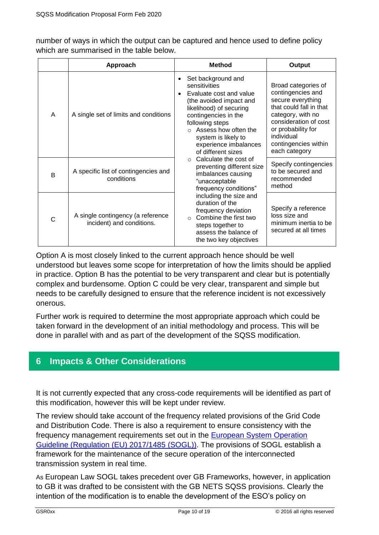number of ways in which the output can be captured and hence used to define policy which are summarised in the table below.

|   | Approach                                                       |                        | <b>Method</b>                                                                                                                                                                                                                                                 | Output                                                                                                                                                                                                              |
|---|----------------------------------------------------------------|------------------------|---------------------------------------------------------------------------------------------------------------------------------------------------------------------------------------------------------------------------------------------------------------|---------------------------------------------------------------------------------------------------------------------------------------------------------------------------------------------------------------------|
| A | A single set of limits and conditions                          | $\bullet$<br>$\bullet$ | Set background and<br>sensitivities<br>Evaluate cost and value<br>(the avoided impact and<br>likelihood) of securing<br>contingencies in the<br>following steps<br>Assess how often the<br>system is likely to<br>experience imbalances<br>of different sizes | Broad categories of<br>contingencies and<br>secure everything<br>that could fall in that<br>category, with no<br>consideration of cost<br>or probability for<br>individual<br>contingencies within<br>each category |
| B | A specific list of contingencies and<br>conditions             |                        | Calculate the cost of<br>preventing different size<br>imbalances causing<br>"unacceptable<br>frequency conditions"                                                                                                                                            | Specify contingencies<br>to be secured and<br>recommended<br>method                                                                                                                                                 |
| C | A single contingency (a reference<br>incident) and conditions. |                        | including the size and<br>duration of the<br>frequency deviation<br>Combine the first two<br>$\cap$<br>steps together to<br>assess the balance of<br>the two key objectives                                                                                   | Specify a reference<br>loss size and<br>minimum inertia to be<br>secured at all times                                                                                                                               |

Option A is most closely linked to the current approach hence should be well understood but leaves some scope for interpretation of how the limits should be applied in practice. Option B has the potential to be very transparent and clear but is potentially complex and burdensome. Option C could be very clear, transparent and simple but needs to be carefully designed to ensure that the reference incident is not excessively onerous.

Further work is required to determine the most appropriate approach which could be taken forward in the development of an initial methodology and process. This will be done in parallel with and as part of the development of the SQSS modification.

# **6 Impacts & Other Considerations**

It is not currently expected that any cross-code requirements will be identified as part of this modification, however this will be kept under review.

The review should take account of the frequency related provisions of the Grid Code and Distribution Code. There is also a requirement to ensure consistency with the frequency management requirements set out in the [European System Operation](https://eur-lex.europa.eu/legal-content/EN/TXT/PDF/?uri=CELEX:32017R1485&from=EN)  [Guideline \(Regulation \(EU\) 2017/1485](https://eur-lex.europa.eu/legal-content/EN/TXT/PDF/?uri=CELEX:32017R1485&from=EN) (SOGL)). The provisions of SOGL establish a framework for the maintenance of the secure operation of the interconnected transmission system in real time.

As European Law SOGL takes precedent over GB Frameworks, however, in application to GB it was drafted to be consistent with the GB NETS SQSS provisions. Clearly the intention of the modification is to enable the development of the ESO's policy on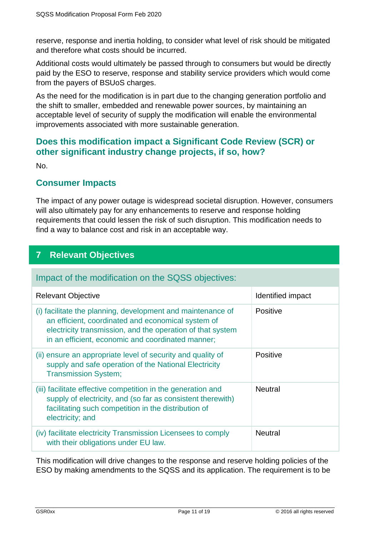reserve, response and inertia holding, to consider what level of risk should be mitigated and therefore what costs should be incurred.

Additional costs would ultimately be passed through to consumers but would be directly paid by the ESO to reserve, response and stability service providers which would come from the payers of BSUoS charges.

As the need for the modification is in part due to the changing generation portfolio and the shift to smaller, embedded and renewable power sources, by maintaining an acceptable level of security of supply the modification will enable the environmental improvements associated with more sustainable generation.

#### **Does this modification impact a Significant Code Review (SCR) or other significant industry change projects, if so, how?**

No.

#### **Consumer Impacts**

The impact of any power outage is widespread societal disruption. However, consumers will also ultimately pay for any enhancements to reserve and response holding requirements that could lessen the risk of such disruption. This modification needs to find a way to balance cost and risk in an acceptable way.

## **7 Relevant Objectives**

#### Impact of the modification on the SQSS objectives:

| <b>Relevant Objective</b>                                                                                                                                                                                                            | Identified impact |
|--------------------------------------------------------------------------------------------------------------------------------------------------------------------------------------------------------------------------------------|-------------------|
| (i) facilitate the planning, development and maintenance of<br>an efficient, coordinated and economical system of<br>electricity transmission, and the operation of that system<br>in an efficient, economic and coordinated manner; | Positive          |
| (ii) ensure an appropriate level of security and quality of<br>supply and safe operation of the National Electricity<br><b>Transmission System;</b>                                                                                  | Positive          |
| (iii) facilitate effective competition in the generation and<br>supply of electricity, and (so far as consistent therewith)<br>facilitating such competition in the distribution of<br>electricity; and                              | <b>Neutral</b>    |
| (iv) facilitate electricity Transmission Licensees to comply<br>with their obligations under EU law.                                                                                                                                 | <b>Neutral</b>    |

This modification will drive changes to the response and reserve holding policies of the ESO by making amendments to the SQSS and its application. The requirement is to be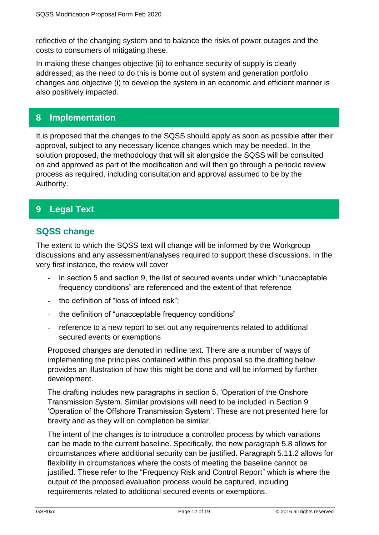reflective of the changing system and to balance the risks of power outages and the costs to consumers of mitigating these.

In making these changes objective (ii) to enhance security of supply is clearly addressed; as the need to do this is borne out of system and generation portfolio changes and objective (i) to develop the system in an economic and efficient manner is also positively impacted.

#### **8 Implementation**

It is proposed that the changes to the SQSS should apply as soon as possible after their approval, subject to any necessary licence changes which may be needed. In the solution proposed, the methodology that will sit alongside the SQSS will be consulted on and approved as part of the modification and will then go through a periodic review process as required, including consultation and approval assumed to be by the Authority.

## **9 Legal Text**

## **SQSS change**

The extent to which the SQSS text will change will be informed by the Workgroup discussions and any assessment/analyses required to support these discussions. In the very first instance, the review will cover

- in section 5 and section 9, the list of secured events under which "unacceptable" frequency conditions" are referenced and the extent of that reference
- the definition of "loss of infeed risk";
- the definition of "unacceptable frequency conditions"
- reference to a new report to set out any requirements related to additional secured events or exemptions

Proposed changes are denoted in redline text. There are a number of ways of implementing the principles contained within this proposal so the drafting below provides an illustration of how this might be done and will be informed by further development.

The drafting includes new paragraphs in section 5, 'Operation of the Onshore Transmission System. Similar provisions will need to be included in Section 9 'Operation of the Offshore Transmission System'. These are not presented here for brevity and as they will on completion be similar.

The intent of the changes is to introduce a controlled process by which variations can be made to the current baseline. Specifically, the new paragraph 5.8 allows for circumstances where additional security can be justified. Paragraph 5.11.2 allows for flexibility in circumstances where the costs of meeting the baseline cannot be justified. These refer to the "Frequency Risk and Control Report" which is where the output of the proposed evaluation process would be captured, including requirements related to additional secured events or exemptions.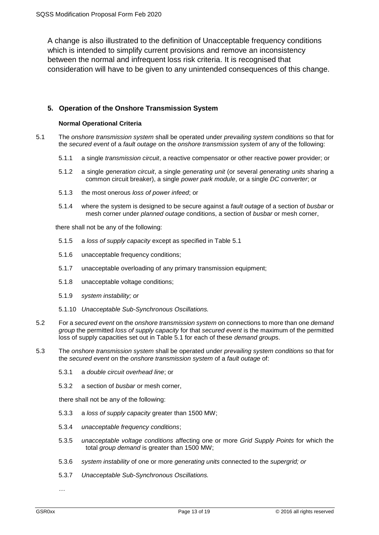A change is also illustrated to the definition of Unacceptable frequency conditions which is intended to simplify current provisions and remove an inconsistency between the normal and infrequent loss risk criteria. It is recognised that consideration will have to be given to any unintended consequences of this change.

#### **5. Operation of the Onshore Transmission System**

#### **Normal Operational Criteria**

5.1 The *onshore transmission system* shall be operated under *prevailing system conditions* so that for the *secured event* of a *fault outage* on the *onshore transmission system* of any of the following:

- 5.1.1 a single *transmission circuit*, a reactive compensator or other reactive power provider; or
- 5.1.2 a single *generation circuit*, a single *generating unit* (or several *generating units* sharing a common circuit breaker), a single *power park module*, or a single *DC converter*; or
- 5.1.3 the most onerous *loss of power infeed*; or
- 5.1.4 where the system is designed to be secure against a *fault outage* of a section of *busbar* or mesh corner under *planned outage* conditions, a section of *busbar* or mesh corner,

there shall not be any of the following:

- 5.1.5 a *loss of supply capacity* except as specified in Table 5.1
- 5.1.6 unacceptable frequency conditions;
- 5.1.7 unacceptable overloading of any primary transmission equipment;
- 5.1.8 unacceptable voltage conditions;
- 5.1.9 *system instability; or*
- 5.1.10 *Unacceptable Sub-Synchronous Oscillations.*
- 5.2 For a *secured event* on the *onshore transmission system* on connections to more than one *demand group* the permitted *loss of supply capacity* for that *secured event* is the maximum of the permitted loss of supply capacities set out in Table 5.1 for each of these *demand group*s.
- 5.3 The *onshore transmission system* shall be operated under *prevailing system conditions* so that for the *secured event* on the *onshore transmission system* of a *fault outage* of:
	- 5.3.1 a *double circuit overhead line*; or
	- 5.3.2 a section of *busbar* or mesh corner,

there shall not be any of the following:

- 5.3.3 a *loss of supply capacity* greater than 1500 MW;
- 5.3.4 *unacceptable frequency conditions*;
- 5.3.5 *unacceptable voltage conditions* affecting one or more *Grid Supply Points* for which the total *group demand* is greater than 1500 MW;
- 5.3.6 *system instability* of one or more *generating units* connected to the *supergrid; or*
- 5.3.7 *Unacceptable Sub-Synchronous Oscillations.*

*…*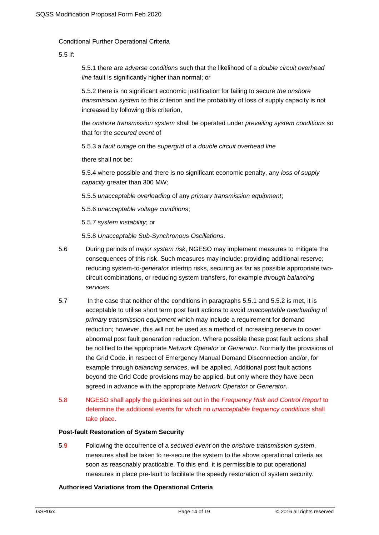Conditional Further Operational Criteria

5.5 If:

5.5.1 there are *adverse conditions* such that the likelihood of a *double circuit overhead line* fault is significantly higher than normal; or

5.5.2 there is no significant economic justification for failing to secure *the onshore transmission system* to this criterion and the probability of loss of supply capacity is not increased by following this criterion,

the *onshore transmission system* shall be operated under *prevailing system conditions* so that for the *secured event* of

5.5.3 a *fault outage* on the *supergrid* of a *double circuit overhead line*

there shall not be:

5.5.4 where possible and there is no significant economic penalty, any *loss of supply capacity* greater than 300 MW;

5.5.5 *unacceptable overloading* of any *primary transmission equipment*;

5.5.6 *unacceptable voltage conditions*;

5.5.7 *system instability*; or

5.5.8 *Unacceptable Sub-Synchronous Oscillations*.

- 5.6 During periods of *major system risk*, NGESO may implement measures to mitigate the consequences of this risk. Such measures may include: providing additional reserve; reducing system-to-*generator* intertrip risks, securing as far as possible appropriate twocircuit combinations, or reducing system transfers, for example *through balancing services*.
- 5.7 In the case that neither of the conditions in paragraphs 5.5.1 and 5.5.2 is met, it is acceptable to utilise short term post fault actions to avoid *unacceptable overloading* of *primary transmission equipment* which may include a requirement for demand reduction; however, this will not be used as a method of increasing reserve to cover abnormal post fault generation reduction. Where possible these post fault actions shall be notified to the appropriate *Network Operator* or *Generator*. Normally the provisions of the Grid Code, in respect of Emergency Manual Demand Disconnection and/or, for example through *balancing services*, will be applied. Additional post fault actions beyond the Grid Code provisions may be applied, but only where they have been agreed in advance with the appropriate *Network Operator* or *Generator*.
- 5.8 NGESO shall apply the guidelines set out in the *Frequency Risk and Control Report* to determine the additional events for which no *unacceptable frequency conditions* shall take place.

#### **Post-fault Restoration of System Security**

5.9 Following the occurrence of a *secured event* on the *onshore transmission system*, measures shall be taken to re-secure the system to the above operational criteria as soon as reasonably practicable. To this end, it is permissible to put operational measures in place pre-fault to facilitate the speedy restoration of system security.

#### **Authorised Variations from the Operational Criteria**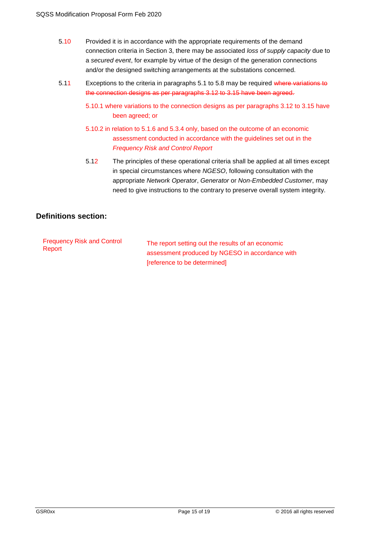- 5.10 Provided it is in accordance with the appropriate requirements of the demand connection criteria in Section 3, there may be associated *loss of supply capacity* due to a *secured event*, for example by virtue of the design of the generation connections and/or the designed switching arrangements at the substations concerned.
- 5.11 Exceptions to the criteria in paragraphs 5.1 to 5.8 may be required where variations to the connection designs as per paragraphs 3.12 to 3.15 have been agreed.
	- 5.10.1 where variations to the connection designs as per paragraphs 3.12 to 3.15 have been agreed; or
	- 5.10.2 in relation to 5.1.6 and 5.3.4 only, based on the outcome of an economic assessment conducted in accordance with the guidelines set out in the *Frequency Risk and Control Report*
	- 5.12 The principles of these operational criteria shall be applied at all times except in special circumstances where *NGESO*, following consultation with the appropriate *Network Operator*, *Generator* or *Non-Embedded Customer*, may need to give instructions to the contrary to preserve overall system integrity.

#### **Definitions section:**

| <b>Frequency Risk and Control</b> |  |
|-----------------------------------|--|
| Report                            |  |

The report setting out the results of an economic assessment produced by NGESO in accordance with [reference to be determined]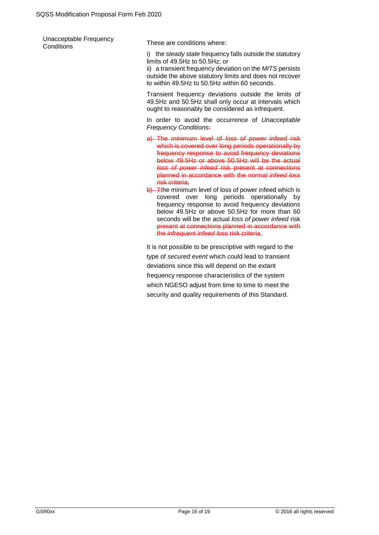| Unacceptable Frequency<br>Conditions | These are conditions where:                                      |  |  |
|--------------------------------------|------------------------------------------------------------------|--|--|
|                                      | i) the <i>steady state</i> frequency falls outside the statutory |  |  |

limits of 49.5Hz to 50.5Hz; or ii) a transient frequency deviation on the *MITS* persists outside the above statutory limits and does not recover to within 49.5Hz to 50.5Hz within 60 seconds.

Transient frequency deviations outside the limits of 49.5Hz and 50.5Hz shall only occur at intervals which ought to reasonably be considered as infrequent.

In order to avoid the occurrence of *Unacceptable Frequency Conditions*:

- a) The minimum level of *loss of power infeed* risk which is covered over long periods operationally by frequency response to avoid frequency deviations below 49.5Hz or above 50.5Hz will be the actual *loss of power infeed* risk present at connections planned in accordance with the *normal infeed loss* risk criteria;
- b) Tthe minimum level of loss of power infeed which is covered over long periods operationally by frequency response to avoid frequency deviations below 49.5Hz or above 50.5Hz for more than 60 seconds will be the actual *loss of power infeed* risk present at connections planned in accordance with the *infrequent infeed loss* risk criteria.

It is not possible to be prescriptive with regard to the type of *secured event* which could lead to transient deviations since this will depend on the extant frequency response characteristics of the system which NGESO adjust from time to time to meet the security and quality requirements of this Standard.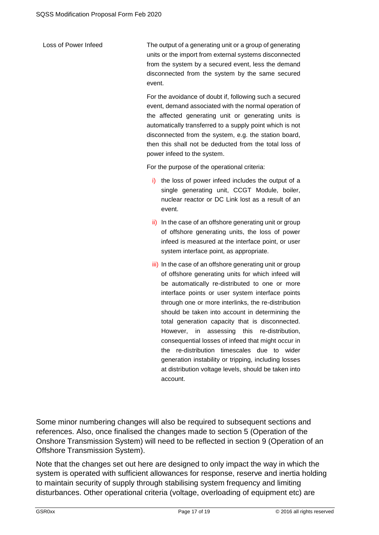Loss of Power Infeed The output of a generating unit or a group of generating units or the import from external systems disconnected from the system by a secured event, less the demand disconnected from the system by the same secured event.

> For the avoidance of doubt if, following such a secured event, demand associated with the normal operation of the affected generating unit or generating units is automatically transferred to a supply point which is not disconnected from the system, e.g. the station board, then this shall not be deducted from the total loss of power infeed to the system.

For the purpose of the operational criteria:

- i) the loss of power infeed includes the output of a single generating unit, CCGT Module, boiler, nuclear reactor or DC Link lost as a result of an event.
- ii) In the case of an offshore generating unit or group of offshore generating units, the loss of power infeed is measured at the interface point, or user system interface point, as appropriate.
- iii) In the case of an offshore generating unit or group of offshore generating units for which infeed will be automatically re-distributed to one or more interface points or user system interface points through one or more interlinks, the re-distribution should be taken into account in determining the total generation capacity that is disconnected. However, in assessing this re-distribution, consequential losses of infeed that might occur in the re-distribution timescales due to wider generation instability or tripping, including losses at distribution voltage levels, should be taken into account.

Some minor numbering changes will also be required to subsequent sections and references. Also, once finalised the changes made to section 5 (Operation of the Onshore Transmission System) will need to be reflected in section 9 (Operation of an Offshore Transmission System).

Note that the changes set out here are designed to only impact the way in which the system is operated with sufficient allowances for response, reserve and inertia holding to maintain security of supply through stabilising system frequency and limiting disturbances. Other operational criteria (voltage, overloading of equipment etc) are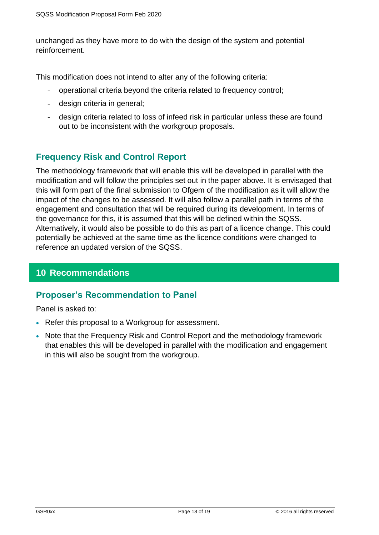unchanged as they have more to do with the design of the system and potential reinforcement.

This modification does not intend to alter any of the following criteria:

- operational criteria beyond the criteria related to frequency control;
- design criteria in general;
- design criteria related to loss of infeed risk in particular unless these are found out to be inconsistent with the workgroup proposals.

#### **Frequency Risk and Control Report**

The methodology framework that will enable this will be developed in parallel with the modification and will follow the principles set out in the paper above. It is envisaged that this will form part of the final submission to Ofgem of the modification as it will allow the impact of the changes to be assessed. It will also follow a parallel path in terms of the engagement and consultation that will be required during its development. In terms of the governance for this, it is assumed that this will be defined within the SQSS. Alternatively, it would also be possible to do this as part of a licence change. This could potentially be achieved at the same time as the licence conditions were changed to reference an updated version of the SQSS.

#### **10 Recommendations**

#### **Proposer's Recommendation to Panel**

Panel is asked to:

- Refer this proposal to a Workgroup for assessment.
- Note that the Frequency Risk and Control Report and the methodology framework that enables this will be developed in parallel with the modification and engagement in this will also be sought from the workgroup.